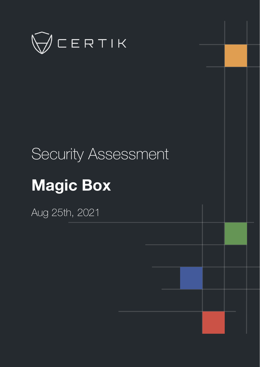

# Security Assessment

# **Magic Box**

Aug 25th, 2021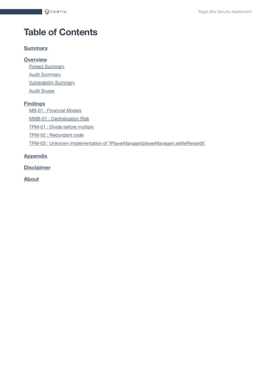# **Table of Contents**

#### **[Summary](#page-2-0)**

**[Overview](#page-3-0)**

**Project [Summary](#page-3-1)** 

**Audit [Summary](#page-3-2)** 

**[Vulnerability Summary](#page-3-3)** 

**Audit [Scope](#page-4-0)** 

#### **[Findings](#page-5-0)**

MB-01 : [Financial](#page-6-0) Models

MMB-01 : [Centralization](#page-7-0) Risk

[TPM-01](#page-8-0) : Divide before multiply

TPM-02 : [Redundant](#page-9-0) code

TPM-03 : Unknown implementation of [`IPlayerManager\(playerManager\).setlleReward\(\)`](#page-10-0)

#### **[Appendix](#page-11-0)**

**[Disclaimer](#page-12-0)**

**[About](#page-15-0)**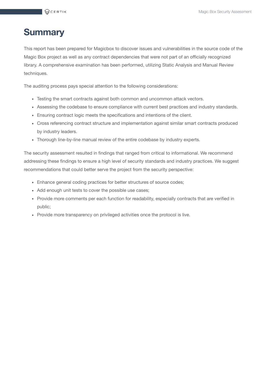# <span id="page-2-0"></span>**Summary**

This report has been prepared for Magicbox to discover issues and vulnerabilities in the source code of the Magic Box project as well as any contract dependencies that were not part of an officially recognized library. A comprehensive examination has been performed, utilizing Static Analysis and Manual Review techniques.

The auditing process pays special attention to the following considerations:

- Testing the smart contracts against both common and uncommon attack vectors.
- Assessing the codebase to ensure compliance with current best practices and industry standards.
- Ensuring contract logic meets the specifications and intentions of the client.
- Cross referencing contract structure and implementation against similar smart contracts produced by industry leaders.
- Thorough line-by-line manual review of the entire codebase by industry experts.

The security assessment resulted in findings that ranged from critical to informational. We recommend addressing these findings to ensure a high level of security standards and industry practices. We suggest recommendations that could better serve the project from the security perspective:

- Enhance general coding practices for better structures of source codes;
- Add enough unit tests to cover the possible use cases;
- Provide more comments per each function for readability, especially contracts that are verified in public;
- Provide more transparency on privileged activities once the protocol is live.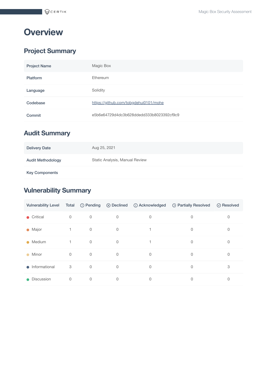# <span id="page-3-0"></span>**Overview**

## <span id="page-3-1"></span>**Project Summary**

| <b>Project Name</b> | Magic Box                                |
|---------------------|------------------------------------------|
| <b>Platform</b>     | Ethereum                                 |
| Language            | Solidity                                 |
| Codebase            | https://github.com/tobgdehui0101/mohe    |
| Commit              | e5b6e64729d4dc3b628ddedd333b8023392cf9c9 |

## <span id="page-3-2"></span>**Audit Summary**

| <b>Delivery Date</b>     | Aug 25, 2021                   |
|--------------------------|--------------------------------|
| <b>Audit Methodology</b> | Static Analysis, Manual Review |
| <b>Key Components</b>    |                                |

## <span id="page-3-3"></span>**Vulnerability Summary**

| <b>Vulnerability Level</b> | Total        |                | $\circledcirc$ Pending $\circledcirc$ Declined | <b>O</b> Acknowledged | <b>Be</b> Partially Resolved | $\oslash$ Resolved |
|----------------------------|--------------|----------------|------------------------------------------------|-----------------------|------------------------------|--------------------|
| • Critical                 | $\mathbf 0$  | 0              | 0                                              | $\mathbf 0$           | $\mathbf{0}$                 | 0                  |
| • Major                    |              | 0              | $\mathbf 0$                                    |                       | $\mathbf{0}$                 | 0                  |
| $\bullet$ Medium           | $\mathbf{1}$ | $\mathbf 0$    | $\Omega$                                       |                       | $\Omega$                     | 0                  |
| Minor<br>$\bullet$         | $\mathbf 0$  | $\mathbf 0$    | $\Omega$                                       | $\mathbf 0$           | $\mathbf{0}$                 | 0                  |
| $\bullet$ Informational    | 3            | $\overline{0}$ | $\Omega$                                       | $\mathbf 0$           | $\Omega$                     | 3                  |
| Discussion<br>$\bullet$    | $\mathbf 0$  | 0              | $\mathbf 0$                                    | 0                     | $\mathbf 0$                  | 0                  |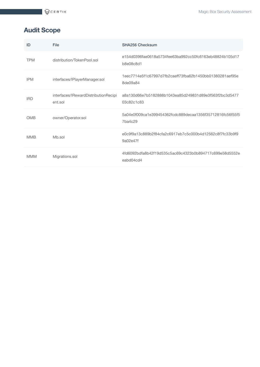## <span id="page-4-0"></span>**Audit Scope**

| ID         | File                                            | <b>SHA256 Checksum</b>                                               |
|------------|-------------------------------------------------|----------------------------------------------------------------------|
| <b>TPM</b> | distribution/TokenPool.sol                      | e154d0396fae0618a5734fee63ba992cc50fc6163eb48824b105d17<br>b8e08c8d1 |
| <b>IPM</b> | interfaces/IPlayerManager.sol                   | 1eec7714e5f1c67997d7fb2caeff73fba62b1450bb01380281aef95e<br>8de09a84 |
| <b>IRD</b> | interfaces/IRewardDistributionRecipi<br>ent.sol | a8a130d66e7b5182888b1043ea85d249831d89e3f563f2bc3d5477<br>03c82c1c83 |
| <b>OMB</b> | owner/Operator.sol                              | 5a04e0f009ca1e399454362fcdc889decaa1356f35712816fc56f55f5<br>7ba4c29 |
| <b>MMB</b> | Mb.sol                                          | e0c9f9a13c889b2f84cfa2c6917eb7c5c000b4d12562c8f7fc33b9f9<br>9a02e47f |
| <b>MMM</b> | Migrations.sol                                  | 4fd6092bdfa8b42f19d535c5ac69c4323b0b894717c699e58d5552e<br>eabd04cd4 |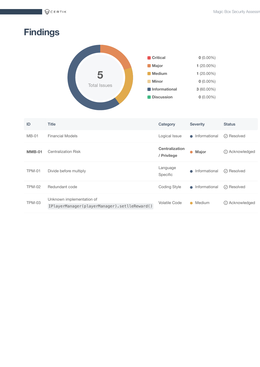$\bigcirc$ CERTIK

# <span id="page-5-0"></span>**Findings**



| ID            | <b>Title</b>                                                              | Category                             | <b>Severity</b>            | <b>Status</b>                       |
|---------------|---------------------------------------------------------------------------|--------------------------------------|----------------------------|-------------------------------------|
| $MB-01$       | <b>Financial Models</b>                                                   | Logical Issue                        | Informational<br>$\Box$    | $\oslash$ Resolved                  |
| <b>MMB-01</b> | <b>Centralization Risk</b>                                                | <b>Centralization</b><br>/ Privilege | <b>Major</b><br>$\bullet$  | <b><i><u>O</u></i></b> Acknowledged |
| <b>TPM-01</b> | Divide before multiply                                                    | Language<br>Specific                 | Informational<br>$\bullet$ | $\oslash$ Resolved                  |
| <b>TPM-02</b> | Redundant code                                                            | <b>Coding Style</b>                  | Informational<br>$\bullet$ | $\oslash$ Resolved                  |
| <b>TPM-03</b> | Unknown implementation of<br>IPlayerManager(playerManager).setlleReward() | <b>Volatile Code</b>                 | Medium<br>$\bullet$        | Acknowledged<br>(i)                 |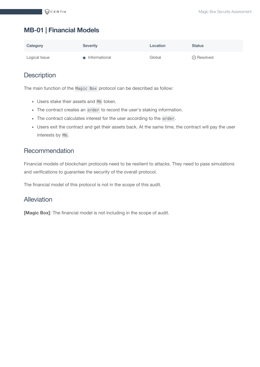## <span id="page-6-0"></span>**MB-01 | Financial Models**

| Category      | Severity        | Location | <b>Status</b>      |
|---------------|-----------------|----------|--------------------|
| Logical Issue | • Informational | Global   | $\oslash$ Resolved |

#### **Description**

The main function of the Magic Box protocol can be described as follow:

- Users stake their assets and Mb token.
- The contract creates an order to record the user's staking information.
- The contract calculates interest for the user according to the order .
- Users exit the contract and get their assets back. At the same time, the contract will pay the user interests by Mb .

#### Recommendation

Financial models of blockchain protocols need to be resilient to attacks. They need to pass simulations and verifications to guarantee the security of the overall protocol.

The financial model of this protocol is not in the scope of this audit.

#### Alleviation

**[Magic Box]**: The financial model is not including in the scope of audit.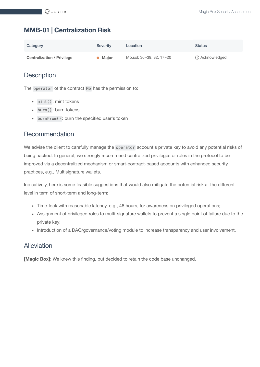### <span id="page-7-0"></span>**MMB-01 | Centralization Risk**

| Category                          | <b>Severity</b> | Location                 | <b>Status</b>    |
|-----------------------------------|-----------------|--------------------------|------------------|
| <b>Centralization / Privilege</b> | <b>A</b> Major  | Mb.sol: 36~39, 32, 17~20 | (i) Acknowledged |

#### **Description**

The operator of the contract Mb has the permission to:

- mint(): mint tokens
- burn() : burn tokens
- burnFrom() : burn the specified user's token

#### Recommendation

We advise the client to carefully manage the operator account's private key to avoid any potential risks of being hacked. In general, we strongly recommend centralized privileges or roles in the protocol to be improved via a decentralized mechanism or smart-contract-based accounts with enhanced security practices, e.g., Multisignature wallets.

Indicatively, here is some feasible suggestions that would also mitigate the potential risk at the different level in term of short-term and long-term:

- Time-lock with reasonable latency, e.g., 48 hours, for awareness on privileged operations;
- Assignment of privileged roles to multi-signature wallets to prevent a single point of failure due to the private key;
- Introduction of a DAO/governance/voting module to increase transparency and user involvement.

#### Alleviation

**[Magic Box]**: We knew this finding, but decided to retain the code base unchanged.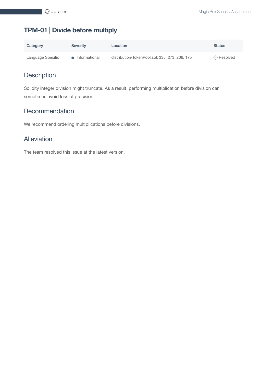## <span id="page-8-0"></span>**TPM-01 | Divide before multiply**

| Category          | <b>Severity</b> | Location                                       | <b>Status</b>      |
|-------------------|-----------------|------------------------------------------------|--------------------|
| Language Specific | • Informational | distribution/TokenPool.sol: 335, 273, 206, 175 | $\oslash$ Resolved |

## **Description**

Solidity integer division might truncate. As a result, performing multiplication before division can sometimes avoid loss of precision.

#### Recommendation

We recommend ordering multiplications before divisions.

#### Alleviation

The team resolved this issue at the latest version.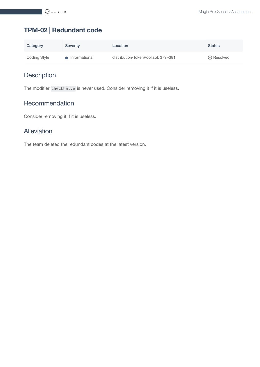## <span id="page-9-0"></span>**TPM-02 | Redundant code**

| Category     | <b>Severity</b> | Location                            | <b>Status</b>      |
|--------------|-----------------|-------------------------------------|--------------------|
| Coding Style | Informational   | distribution/TokenPool.sol: 379~381 | $\oslash$ Resolved |

## **Description**

The modifier checkhalve is never used. Consider removing it if it is useless.

#### Recommendation

Consider removing it if it is useless.

#### Alleviation

The team deleted the redundant codes at the latest version.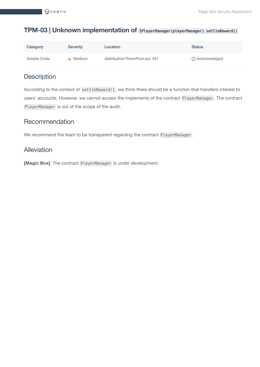#### <span id="page-10-0"></span>**TPM-03 | Unknown implementation of IPlayerManager(playerManager).setlleReward()**

| Category      | Severity | Location                        | <b>Status</b>    |
|---------------|----------|---------------------------------|------------------|
| Volatile Code | Medium   | distribution/TokenPool.sol: 351 | (i) Acknowledged |

## **Description**

According to the context of settleReward() , we think there should be a function that transfers interest to users' accounts. However, we cannot access the implements of the contract PlayerManager . The contract PlayerManager is out of the scope of the audit.

#### Recommendation

We recommend the team to be transparent regarding the contract PlayerManager .

#### Alleviation

**[Magic Box]**: The contract PlayerManager is under development.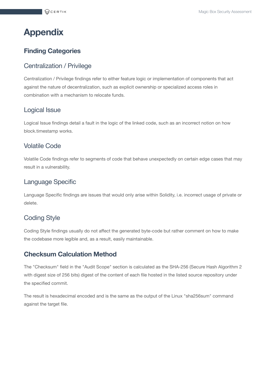# <span id="page-11-0"></span>**Appendix**

#### **Finding Categories**

#### Centralization / Privilege

Centralization / Privilege findings refer to either feature logic or implementation of components that act against the nature of decentralization, such as explicit ownership or specialized access roles in combination with a mechanism to relocate funds.

#### Logical Issue

Logical Issue findings detail a fault in the logic of the linked code, such as an incorrect notion on how block.timestamp works.

#### Volatile Code

Volatile Code findings refer to segments of code that behave unexpectedly on certain edge cases that may result in a vulnerability.

#### Language Specific

Language Specific findings are issues that would only arise within Solidity, i.e. incorrect usage of private or delete.

### Coding Style

Coding Style findings usually do not affect the generated byte-code but rather comment on how to make the codebase more legible and, as a result, easily maintainable.

#### **Checksum Calculation Method**

The "Checksum" field in the "Audit Scope" section is calculated as the SHA-256 (Secure Hash Algorithm 2 with digest size of 256 bits) digest of the content of each file hosted in the listed source repository under the specified commit.

The result is hexadecimal encoded and is the same as the output of the Linux "sha256sum" command against the target file.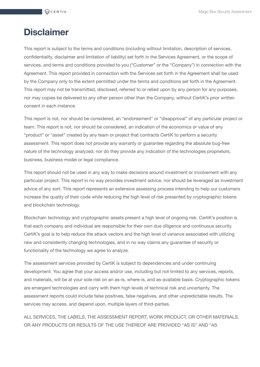# <span id="page-12-0"></span>**Disclaimer**

This report is subject to the terms and conditions (including without limitation, description of services, confidentiality, disclaimer and limitation of liability) set forth in the Services Agreement, or the scope of services, and terms and conditions provided to you ("Customer" or the "Company") in connection with the Agreement. This report provided in connection with the Services set forth in the Agreement shall be used by the Company only to the extent permitted under the terms and conditions set forth in the Agreement. This report may not be transmitted, disclosed, referred to or relied upon by any person for any purposes, nor may copies be delivered to any other person other than the Company, without CertiK's prior written consent in each instance.

This report is not, nor should be considered, an "endorsement" or "disapproval" of any particular project or team. This report is not, nor should be considered, an indication of the economics or value of any "product" or "asset" created by any team or project that contracts CertiK to perform a security assessment. This report does not provide any warranty or guarantee regarding the absolute bug-free nature of the technology analyzed, nor do they provide any indication of the technologies proprietors, business, business model or legal compliance.

This report should not be used in any way to make decisions around investment or involvement with any particular project. This report in no way provides investment advice, nor should be leveraged as investment advice of any sort. This report represents an extensive assessing process intending to help our customers increase the quality of their code while reducing the high level of risk presented by cryptographic tokens and blockchain technology.

Blockchain technology and cryptographic assets present a high level of ongoing risk. CertiK's position is that each company and individual are responsible for their own due diligence and continuous security. CertiK's goal is to help reduce the attack vectors and the high level of variance associated with utilizing new and consistently changing technologies, and in no way claims any guarantee of security or functionality of the technology we agree to analyze.

The assessment services provided by CertiK is subject to dependencies and under continuing development. You agree that your access and/or use, including but not limited to any services, reports, and materials, will be at your sole risk on an as-is, where-is, and as-available basis. Cryptographic tokens are emergent technologies and carry with them high levels of technical risk and uncertainty. The assessment reports could include false positives, false negatives, and other unpredictable results. The services may access, and depend upon, multiple layers of third-parties.

ALL SERVICES, THE LABELS, THE ASSESSMENT REPORT, WORK PRODUCT, OR OTHER MATERIALS, OR ANY PRODUCTS OR RESULTS OF THE USE THEREOF ARE PROVIDED "AS IS" AND "AS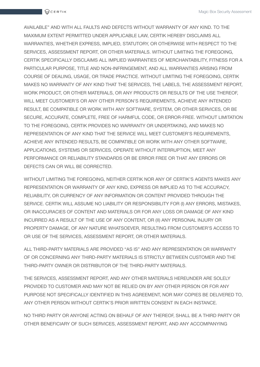AVAILABLE" AND WITH ALL FAULTS AND DEFECTS WITHOUT WARRANTY OF ANY KIND. TO THE MAXIMUM EXTENT PERMITTED UNDER APPLICABLE LAW, CERTIK HEREBY DISCLAIMS ALL WARRANTIES, WHETHER EXPRESS, IMPLIED, STATUTORY, OR OTHERWISE WITH RESPECT TO THE SERVICES, ASSESSMENT REPORT, OR OTHER MATERIALS. WITHOUT LIMITING THE FOREGOING, CERTIK SPECIFICALLY DISCLAIMS ALL IMPLIED WARRANTIES OF MERCHANTABILITY, FITNESS FOR A PARTICULAR PURPOSE, TITLE AND NON-INFRINGEMENT, AND ALL WARRANTIES ARISING FROM COURSE OF DEALING, USAGE, OR TRADE PRACTICE. WITHOUT LIMITING THE FOREGOING, CERTIK MAKES NO WARRANTY OF ANY KIND THAT THE SERVICES, THE LABELS, THE ASSESSMENT REPORT, WORK PRODUCT, OR OTHER MATERIALS, OR ANY PRODUCTS OR RESULTS OF THE USE THEREOF, WILL MEET CUSTOMER'S OR ANY OTHER PERSON'S REQUIREMENTS, ACHIEVE ANY INTENDED RESULT, BE COMPATIBLE OR WORK WITH ANY SOFTWARE, SYSTEM, OR OTHER SERVICES, OR BE SECURE, ACCURATE, COMPLETE, FREE OF HARMFUL CODE, OR ERROR-FREE. WITHOUT LIMITATION TO THE FOREGOING, CERTIK PROVIDES NO WARRANTY OR UNDERTAKING, AND MAKES NO REPRESENTATION OF ANY KIND THAT THE SERVICE WILL MEET CUSTOMER'S REQUIREMENTS, ACHIEVE ANY INTENDED RESULTS, BE COMPATIBLE OR WORK WITH ANY OTHER SOFTWARE, APPLICATIONS, SYSTEMS OR SERVICES, OPERATE WITHOUT INTERRUPTION, MEET ANY PERFORMANCE OR RELIABILITY STANDARDS OR BE ERROR FREE OR THAT ANY ERRORS OR DEFECTS CAN OR WILL BE CORRECTED.

WITHOUT LIMITING THE FOREGOING, NEITHER CERTIK NOR ANY OF CERTIK'S AGENTS MAKES ANY REPRESENTATION OR WARRANTY OF ANY KIND, EXPRESS OR IMPLIED AS TO THE ACCURACY, RELIABILITY, OR CURRENCY OF ANY INFORMATION OR CONTENT PROVIDED THROUGH THE SERVICE. CERTIK WILL ASSUME NO LIABILITY OR RESPONSIBILITY FOR (I) ANY ERRORS, MISTAKES, OR INACCURACIES OF CONTENT AND MATERIALS OR FOR ANY LOSS OR DAMAGE OF ANY KIND INCURRED AS A RESULT OF THE USE OF ANY CONTENT, OR (II) ANY PERSONAL INJURY OR PROPERTY DAMAGE, OF ANY NATURE WHATSOEVER, RESULTING FROM CUSTOMER'S ACCESS TO OR USE OF THE SERVICES, ASSESSMENT REPORT, OR OTHER MATERIALS.

ALL THIRD-PARTY MATERIALS ARE PROVIDED "AS IS" AND ANY REPRESENTATION OR WARRANTY OF OR CONCERNING ANY THIRD-PARTY MATERIALS IS STRICTLY BETWEEN CUSTOMER AND THE THIRD-PARTY OWNER OR DISTRIBUTOR OF THE THIRD-PARTY MATERIALS.

THE SERVICES, ASSESSMENT REPORT, AND ANY OTHER MATERIALS HEREUNDER ARE SOLELY PROVIDED TO CUSTOMER AND MAY NOT BE RELIED ON BY ANY OTHER PERSON OR FOR ANY PURPOSE NOT SPECIFICALLY IDENTIFIED IN THIS AGREEMENT, NOR MAY COPIES BE DELIVERED TO, ANY OTHER PERSON WITHOUT CERTIK'S PRIOR WRITTEN CONSENT IN EACH INSTANCE.

NO THIRD PARTY OR ANYONE ACTING ON BEHALF OF ANY THEREOF, SHALL BE A THIRD PARTY OR OTHER BENEFICIARY OF SUCH SERVICES, ASSESSMENT REPORT, AND ANY ACCOMPANYING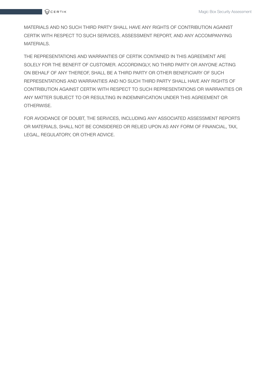

MATERIALS AND NO SUCH THIRD PARTY SHALL HAVE ANY RIGHTS OF CONTRIBUTION AGAINST CERTIK WITH RESPECT TO SUCH SERVICES, ASSESSMENT REPORT, AND ANY ACCOMPANYING MATERIALS.

THE REPRESENTATIONS AND WARRANTIES OF CERTIK CONTAINED IN THIS AGREEMENT ARE SOLELY FOR THE BENEFIT OF CUSTOMER. ACCORDINGLY, NO THIRD PARTY OR ANYONE ACTING ON BEHALF OF ANY THEREOF, SHALL BE A THIRD PARTY OR OTHER BENEFICIARY OF SUCH REPRESENTATIONS AND WARRANTIES AND NO SUCH THIRD PARTY SHALL HAVE ANY RIGHTS OF CONTRIBUTION AGAINST CERTIK WITH RESPECT TO SUCH REPRESENTATIONS OR WARRANTIES OR ANY MATTER SUBJECT TO OR RESULTING IN INDEMNIFICATION UNDER THIS AGREEMENT OR OTHERWISE.

FOR AVOIDANCE OF DOUBT, THE SERVICES, INCLUDING ANY ASSOCIATED ASSESSMENT REPORTS OR MATERIALS, SHALL NOT BE CONSIDERED OR RELIED UPON AS ANY FORM OF FINANCIAL, TAX, LEGAL, REGULATORY, OR OTHER ADVICE.